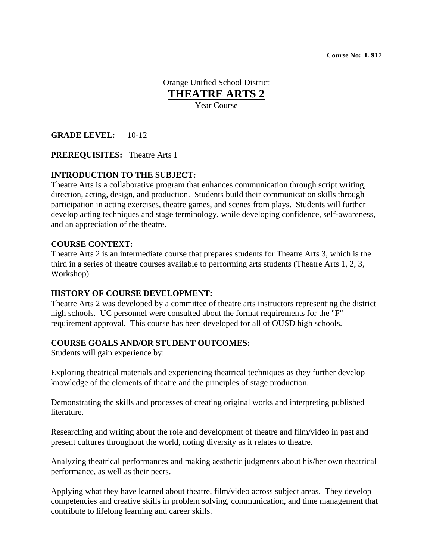**Course No: L 917** 

Orange Unified School District **THEATRE ARTS 2** Year Course

**GRADE LEVEL:** 10-12

**PREREQUISITES:** Theatre Arts 1

### **INTRODUCTION TO THE SUBJECT:**

Theatre Arts is a collaborative program that enhances communication through script writing, direction, acting, design, and production. Students build their communication skills through participation in acting exercises, theatre games, and scenes from plays. Students will further develop acting techniques and stage terminology, while developing confidence, self-awareness, and an appreciation of the theatre.

#### **COURSE CONTEXT:**

Theatre Arts 2 is an intermediate course that prepares students for Theatre Arts 3, which is the third in a series of theatre courses available to performing arts students (Theatre Arts 1, 2, 3, Workshop).

#### **HISTORY OF COURSE DEVELOPMENT:**

Theatre Arts 2 was developed by a committee of theatre arts instructors representing the district high schools. UC personnel were consulted about the format requirements for the "F" requirement approval. This course has been developed for all of OUSD high schools.

### **COURSE GOALS AND/OR STUDENT OUTCOMES:**

Students will gain experience by:

Exploring theatrical materials and experiencing theatrical techniques as they further develop knowledge of the elements of theatre and the principles of stage production.

Demonstrating the skills and processes of creating original works and interpreting published literature.

Researching and writing about the role and development of theatre and film/video in past and present cultures throughout the world, noting diversity as it relates to theatre.

Analyzing theatrical performances and making aesthetic judgments about his/her own theatrical performance, as well as their peers.

Applying what they have learned about theatre, film/video across subject areas. They develop competencies and creative skills in problem solving, communication, and time management that contribute to lifelong learning and career skills.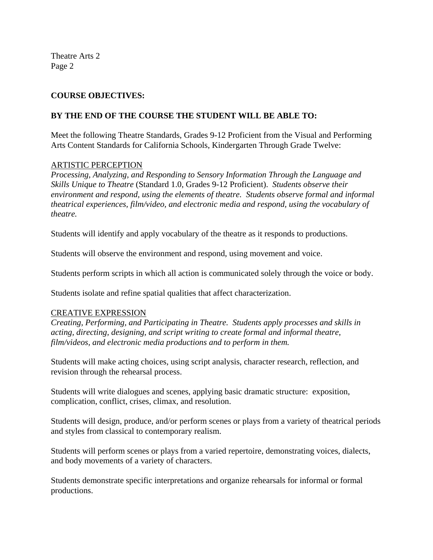# **COURSE OBJECTIVES:**

### **BY THE END OF THE COURSE THE STUDENT WILL BE ABLE TO:**

Meet the following Theatre Standards, Grades 9-12 Proficient from the Visual and Performing Arts Content Standards for California Schools, Kindergarten Through Grade Twelve:

### ARTISTIC PERCEPTION

*Processing, Analyzing, and Responding to Sensory Information Through the Language and Skills Unique to Theatre* (Standard 1.0, Grades 9-12 Proficient). *Students observe their environment and respond, using the elements of theatre. Students observe formal and informal theatrical experiences, film/video, and electronic media and respond, using the vocabulary of theatre.* 

Students will identify and apply vocabulary of the theatre as it responds to productions.

Students will observe the environment and respond, using movement and voice.

Students perform scripts in which all action is communicated solely through the voice or body.

Students isolate and refine spatial qualities that affect characterization.

### CREATIVE EXPRESSION

*Creating, Performing, and Participating in Theatre. Students apply processes and skills in acting, directing, designing, and script writing to create formal and informal theatre, film/videos, and electronic media productions and to perform in them.* 

Students will make acting choices, using script analysis, character research, reflection, and revision through the rehearsal process.

Students will write dialogues and scenes, applying basic dramatic structure: exposition, complication, conflict, crises, climax, and resolution.

Students will design, produce, and/or perform scenes or plays from a variety of theatrical periods and styles from classical to contemporary realism.

Students will perform scenes or plays from a varied repertoire, demonstrating voices, dialects, and body movements of a variety of characters.

Students demonstrate specific interpretations and organize rehearsals for informal or formal productions.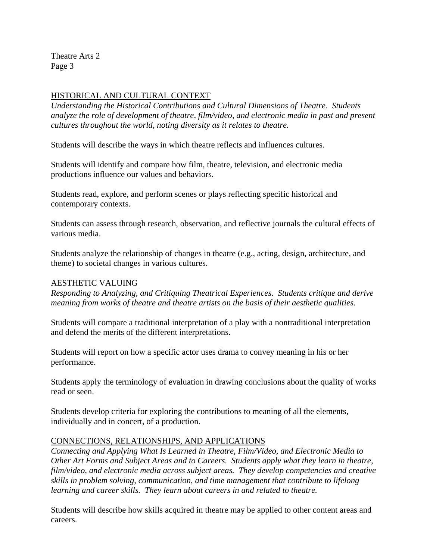# HISTORICAL AND CULTURAL CONTEXT

*Understanding the Historical Contributions and Cultural Dimensions of Theatre. Students analyze the role of development of theatre, film/video, and electronic media in past and present cultures throughout the world, noting diversity as it relates to theatre.* 

Students will describe the ways in which theatre reflects and influences cultures.

Students will identify and compare how film, theatre, television, and electronic media productions influence our values and behaviors.

Students read, explore, and perform scenes or plays reflecting specific historical and contemporary contexts.

Students can assess through research, observation, and reflective journals the cultural effects of various media.

Students analyze the relationship of changes in theatre (e.g., acting, design, architecture, and theme) to societal changes in various cultures.

### AESTHETIC VALUING

*Responding to Analyzing, and Critiquing Theatrical Experiences. Students critique and derive meaning from works of theatre and theatre artists on the basis of their aesthetic qualities.* 

Students will compare a traditional interpretation of a play with a nontraditional interpretation and defend the merits of the different interpretations.

Students will report on how a specific actor uses drama to convey meaning in his or her performance.

Students apply the terminology of evaluation in drawing conclusions about the quality of works read or seen.

Students develop criteria for exploring the contributions to meaning of all the elements, individually and in concert, of a production.

# CONNECTIONS, RELATIONSHIPS, AND APPLICATIONS

*Connecting and Applying What Is Learned in Theatre, Film/Video, and Electronic Media to Other Art Forms and Subject Areas and to Careers. Students apply what they learn in theatre, film/video, and electronic media across subject areas. They develop competencies and creative skills in problem solving, communication, and time management that contribute to lifelong learning and career skills. They learn about careers in and related to theatre.* 

Students will describe how skills acquired in theatre may be applied to other content areas and careers.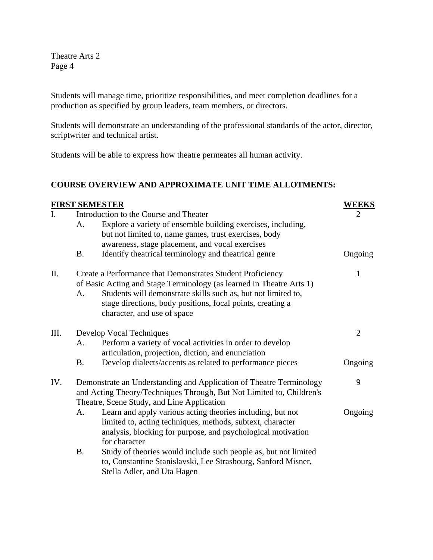Students will manage time, prioritize responsibilities, and meet completion deadlines for a production as specified by group leaders, team members, or directors.

Students will demonstrate an understanding of the professional standards of the actor, director, scriptwriter and technical artist.

Students will be able to express how theatre permeates all human activity.

# **COURSE OVERVIEW AND APPROXIMATE UNIT TIME ALLOTMENTS:**

|             | <b>FIRST SEMESTER</b>                                                |                                                                      |         |  |  |
|-------------|----------------------------------------------------------------------|----------------------------------------------------------------------|---------|--|--|
| $I_{\cdot}$ |                                                                      | Introduction to the Course and Theater                               |         |  |  |
|             | A.                                                                   | Explore a variety of ensemble building exercises, including,         |         |  |  |
|             |                                                                      | but not limited to, name games, trust exercises, body                |         |  |  |
|             |                                                                      | awareness, stage placement, and vocal exercises                      |         |  |  |
|             | <b>B.</b>                                                            | Identify theatrical terminology and theatrical genre                 | Ongoing |  |  |
| П.          | Create a Performance that Demonstrates Student Proficiency           | 1                                                                    |         |  |  |
|             |                                                                      | of Basic Acting and Stage Terminology (as learned in Theatre Arts 1) |         |  |  |
|             | A.                                                                   | Students will demonstrate skills such as, but not limited to,        |         |  |  |
|             |                                                                      | stage directions, body positions, focal points, creating a           |         |  |  |
|             |                                                                      | character, and use of space                                          |         |  |  |
| III.        |                                                                      | Develop Vocal Techniques                                             |         |  |  |
|             | A.                                                                   | Perform a variety of vocal activities in order to develop            |         |  |  |
|             |                                                                      | articulation, projection, diction, and enunciation                   |         |  |  |
|             | <b>B.</b>                                                            | Develop dialects/accents as related to performance pieces            | Ongoing |  |  |
| IV.         | Demonstrate an Understanding and Application of Theatre Terminology  | 9                                                                    |         |  |  |
|             | and Acting Theory/Techniques Through, But Not Limited to, Children's |                                                                      |         |  |  |
|             |                                                                      | Theatre, Scene Study, and Line Application                           |         |  |  |
|             | А.                                                                   | Learn and apply various acting theories including, but not           | Ongoing |  |  |
|             |                                                                      | limited to, acting techniques, methods, subtext, character           |         |  |  |
|             |                                                                      | analysis, blocking for purpose, and psychological motivation         |         |  |  |
|             |                                                                      | for character                                                        |         |  |  |
|             | <b>B.</b>                                                            | Study of theories would include such people as, but not limited      |         |  |  |
|             |                                                                      | to, Constantine Stanislavski, Lee Strasbourg, Sanford Misner,        |         |  |  |
|             |                                                                      | Stella Adler, and Uta Hagen                                          |         |  |  |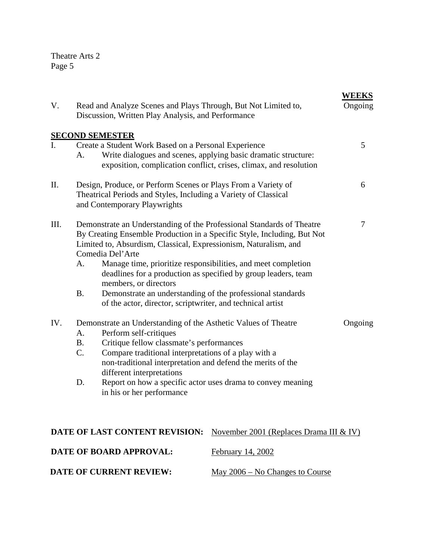| V.                             | Read and Analyze Scenes and Plays Through, But Not Limited to,<br>Discussion, Written Play Analysis, and Performance |                                                                                                                                                                                                                                           |                                                                                                                                                                                                                                                                                     | WEEKS<br>Ongoing |  |  |
|--------------------------------|----------------------------------------------------------------------------------------------------------------------|-------------------------------------------------------------------------------------------------------------------------------------------------------------------------------------------------------------------------------------------|-------------------------------------------------------------------------------------------------------------------------------------------------------------------------------------------------------------------------------------------------------------------------------------|------------------|--|--|
|                                |                                                                                                                      | <b>SECOND SEMESTER</b>                                                                                                                                                                                                                    |                                                                                                                                                                                                                                                                                     |                  |  |  |
| I.                             | А.                                                                                                                   | Create a Student Work Based on a Personal Experience                                                                                                                                                                                      | Write dialogues and scenes, applying basic dramatic structure:<br>exposition, complication conflict, crises, climax, and resolution                                                                                                                                                 | 5                |  |  |
| II.                            |                                                                                                                      | Design, Produce, or Perform Scenes or Plays From a Variety of<br>6<br>Theatrical Periods and Styles, Including a Variety of Classical<br>and Contemporary Playwrights                                                                     |                                                                                                                                                                                                                                                                                     |                  |  |  |
| III.                           | A.<br><b>B.</b>                                                                                                      | Limited to, Absurdism, Classical, Expressionism, Naturalism, and<br>Comedia Del'Arte<br>members, or directors<br>Demonstrate an understanding of the professional standards<br>of the actor, director, scriptwriter, and technical artist | Demonstrate an Understanding of the Professional Standards of Theatre<br>By Creating Ensemble Production in a Specific Style, Including, But Not<br>Manage time, prioritize responsibilities, and meet completion<br>deadlines for a production as specified by group leaders, team | 7                |  |  |
| IV.                            | Demonstrate an Understanding of the Asthetic Values of Theatre<br>Ongoing                                            |                                                                                                                                                                                                                                           |                                                                                                                                                                                                                                                                                     |                  |  |  |
|                                | A.                                                                                                                   | Perform self-critiques                                                                                                                                                                                                                    |                                                                                                                                                                                                                                                                                     |                  |  |  |
|                                | <b>B.</b>                                                                                                            | Critique fellow classmate's performances                                                                                                                                                                                                  |                                                                                                                                                                                                                                                                                     |                  |  |  |
|                                | $\mathcal{C}$ .                                                                                                      | Compare traditional interpretations of a play with a<br>non-traditional interpretation and defend the merits of the<br>different interpretations                                                                                          |                                                                                                                                                                                                                                                                                     |                  |  |  |
|                                | Report on how a specific actor uses drama to convey meaning<br>D.<br>in his or her performance                       |                                                                                                                                                                                                                                           |                                                                                                                                                                                                                                                                                     |                  |  |  |
|                                |                                                                                                                      | DATE OF LAST CONTENT REVISION:                                                                                                                                                                                                            | November 2001 (Replaces Drama III & IV)                                                                                                                                                                                                                                             |                  |  |  |
| <b>DATE OF BOARD APPROVAL:</b> |                                                                                                                      |                                                                                                                                                                                                                                           | February 14, 2002                                                                                                                                                                                                                                                                   |                  |  |  |
|                                |                                                                                                                      | <b>DATE OF CURRENT REVIEW:</b>                                                                                                                                                                                                            | May $2006 - No Changes$ to Course                                                                                                                                                                                                                                                   |                  |  |  |
|                                |                                                                                                                      |                                                                                                                                                                                                                                           |                                                                                                                                                                                                                                                                                     |                  |  |  |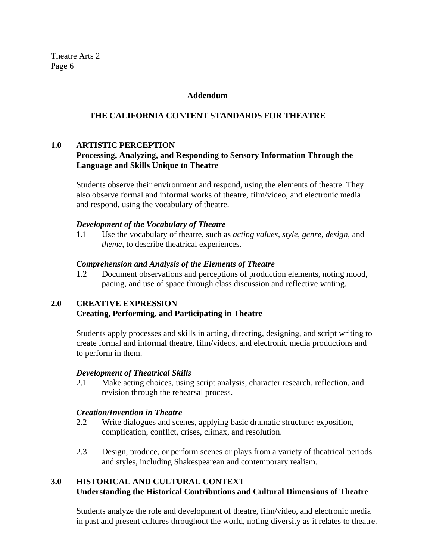#### **Addendum**

### **THE CALIFORNIA CONTENT STANDARDS FOR THEATRE**

### **1.0 ARTISTIC PERCEPTION**

# **Processing, Analyzing, and Responding to Sensory Information Through the Language and Skills Unique to Theatre**

Students observe their environment and respond, using the elements of theatre. They also observe formal and informal works of theatre, film/video, and electronic media and respond, using the vocabulary of theatre.

### *Development of the Vocabulary of Theatre*

1.1 Use the vocabulary of theatre, such as *acting values, style, genre, design,* and *theme*, to describe theatrical experiences.

### *Comprehension and Analysis of the Elements of Theatre*

1.2 Document observations and perceptions of production elements, noting mood, pacing, and use of space through class discussion and reflective writing.

### **2.0 CREATIVE EXPRESSION**

### **Creating, Performing, and Participating in Theatre**

Students apply processes and skills in acting, directing, designing, and script writing to create formal and informal theatre, film/videos, and electronic media productions and to perform in them.

### *Development of Theatrical Skills*

2.1 Make acting choices, using script analysis, character research, reflection, and revision through the rehearsal process.

### *Creation/Invention in Theatre*

- 2.2 Write dialogues and scenes, applying basic dramatic structure: exposition, complication, conflict, crises, climax, and resolution.
- 2.3 Design, produce, or perform scenes or plays from a variety of theatrical periods and styles, including Shakespearean and contemporary realism.

# **3.0 HISTORICAL AND CULTURAL CONTEXT Understanding the Historical Contributions and Cultural Dimensions of Theatre**

Students analyze the role and development of theatre, film/video, and electronic media in past and present cultures throughout the world, noting diversity as it relates to theatre.